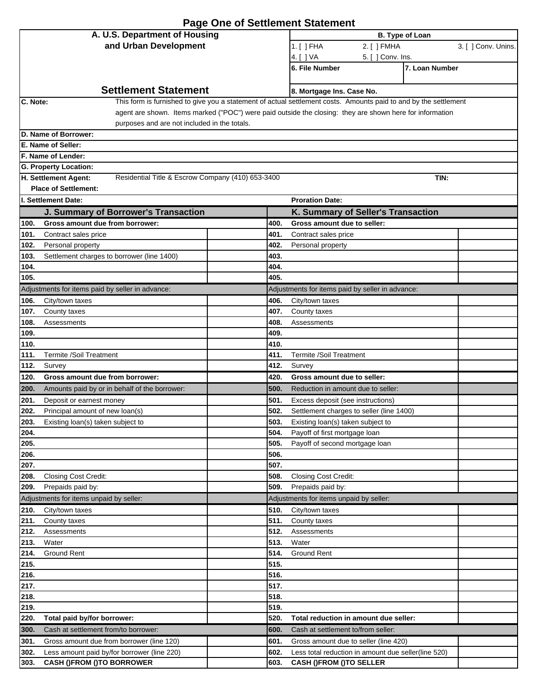| <b>Page One of Settlement Statement</b>                                   |                                                                                                                                               |  |  |  |
|---------------------------------------------------------------------------|-----------------------------------------------------------------------------------------------------------------------------------------------|--|--|--|
| A. U.S. Department of Housing                                             | <b>B. Type of Loan</b>                                                                                                                        |  |  |  |
| and Urban Development                                                     | 1. [ ] FHA<br>3. [ ] Conv. Unins.<br>2. [ ] FMHA                                                                                              |  |  |  |
|                                                                           | 4. [ ] VA<br>5. [ ] Conv. Ins.                                                                                                                |  |  |  |
|                                                                           | 7. Loan Number<br>6. File Number                                                                                                              |  |  |  |
| <b>Settlement Statement</b>                                               |                                                                                                                                               |  |  |  |
| C. Note:                                                                  | 8. Mortgage Ins. Case No.<br>This form is furnished to give you a statement of actual settlement costs. Amounts paid to and by the settlement |  |  |  |
|                                                                           | agent are shown. Items marked ("POC") were paid outside the closing: they are shown here for information                                      |  |  |  |
| purposes and are not included in the totals.                              |                                                                                                                                               |  |  |  |
| D. Name of Borrower:                                                      |                                                                                                                                               |  |  |  |
| E. Name of Seller:                                                        |                                                                                                                                               |  |  |  |
| F. Name of Lender:                                                        |                                                                                                                                               |  |  |  |
| G. Property Location:                                                     |                                                                                                                                               |  |  |  |
| H. Settlement Agent:<br>Residential Title & Escrow Company (410) 653-3400 | TIN:                                                                                                                                          |  |  |  |
| <b>Place of Settlement:</b>                                               |                                                                                                                                               |  |  |  |
| I. Settlement Date:                                                       | <b>Proration Date:</b>                                                                                                                        |  |  |  |
| J. Summary of Borrower's Transaction                                      | K. Summary of Seller's Transaction                                                                                                            |  |  |  |
| 100.<br>Gross amount due from borrower:                                   | 400.<br>Gross amount due to seller:                                                                                                           |  |  |  |
| 101.<br>Contract sales price<br>102.<br>Personal property                 | 401.<br>Contract sales price<br>402.<br>Personal property                                                                                     |  |  |  |
| 103.<br>Settlement charges to borrower (line 1400)                        | 403.                                                                                                                                          |  |  |  |
| 104.                                                                      | 404.                                                                                                                                          |  |  |  |
| 105.                                                                      | 405.                                                                                                                                          |  |  |  |
| Adjustments for items paid by seller in advance:                          | Adjustments for items paid by seller in advance:                                                                                              |  |  |  |
| City/town taxes<br>106.                                                   | 406.<br>City/town taxes                                                                                                                       |  |  |  |
| 107.<br>County taxes                                                      | 407.<br>County taxes                                                                                                                          |  |  |  |
| 108.<br>Assessments                                                       | 408.<br>Assessments                                                                                                                           |  |  |  |
| 109.                                                                      | 409.                                                                                                                                          |  |  |  |
| 110.                                                                      | 410.                                                                                                                                          |  |  |  |
| <b>Termite /Soil Treatment</b><br>111.                                    | 411.<br><b>Termite /Soil Treatment</b>                                                                                                        |  |  |  |
| 112.<br>Survey                                                            | 412.<br>Survey                                                                                                                                |  |  |  |
| 120.<br>Gross amount due from borrower:                                   | 420.<br>Gross amount due to seller:                                                                                                           |  |  |  |
| 200.<br>Amounts paid by or in behalf of the borrower:                     | 500.<br>Reduction in amount due to seller:                                                                                                    |  |  |  |
| 201.<br>Deposit or earnest money                                          | 501.<br>Excess deposit (see instructions)                                                                                                     |  |  |  |
| 202.<br>Principal amount of new loan(s)                                   | 502.<br>Settlement charges to seller (line 1400)                                                                                              |  |  |  |
| 203.<br>Existing loan(s) taken subject to                                 | 503.<br>Existing loan(s) taken subject to                                                                                                     |  |  |  |
| 204.<br>205.                                                              | 504.<br>Payoff of first mortgage loan<br>505.<br>Payoff of second mortgage loan                                                               |  |  |  |
| 206.                                                                      | 506.                                                                                                                                          |  |  |  |
| 207.                                                                      | 507.                                                                                                                                          |  |  |  |
| 208.<br>Closing Cost Credit:                                              | 508.<br>Closing Cost Credit:                                                                                                                  |  |  |  |
| 209.<br>Prepaids paid by:                                                 | 509.<br>Prepaids paid by:                                                                                                                     |  |  |  |
| Adjustments for items unpaid by seller:                                   | Adjustments for items unpaid by seller:                                                                                                       |  |  |  |
| 210.<br>City/town taxes                                                   | 510.<br>City/town taxes                                                                                                                       |  |  |  |
| 211.<br>County taxes                                                      | 511.<br>County taxes                                                                                                                          |  |  |  |
| 212.<br>Assessments                                                       | 512.<br>Assessments                                                                                                                           |  |  |  |
| Water<br>213.                                                             | 513.<br>Water                                                                                                                                 |  |  |  |
| 214.<br><b>Ground Rent</b>                                                | 514.<br><b>Ground Rent</b>                                                                                                                    |  |  |  |
| 215.                                                                      | 515.                                                                                                                                          |  |  |  |
| 216.                                                                      | 516.                                                                                                                                          |  |  |  |
| 217.                                                                      | 517.                                                                                                                                          |  |  |  |
| 218.<br>219.                                                              | 518.<br>519.                                                                                                                                  |  |  |  |
| 220.<br>Total paid by/for borrower:                                       | 520.<br>Total reduction in amount due seller:                                                                                                 |  |  |  |
| 300.<br>Cash at settlement from/to borrower:                              | Cash at settlement to/from seller:<br>600.                                                                                                    |  |  |  |
| Gross amount due from borrower (line 120)<br>301.                         | 601.<br>Gross amount due to seller (line 420)                                                                                                 |  |  |  |
| 302.<br>Less amount paid by/for borrower (line 220)                       | 602.<br>Less total reduction in amount due seller(line 520)                                                                                   |  |  |  |
| 303.<br><b>CASH ()FROM ()TO BORROWER</b>                                  | <b>CASH ()FROM ()TO SELLER</b><br>603.                                                                                                        |  |  |  |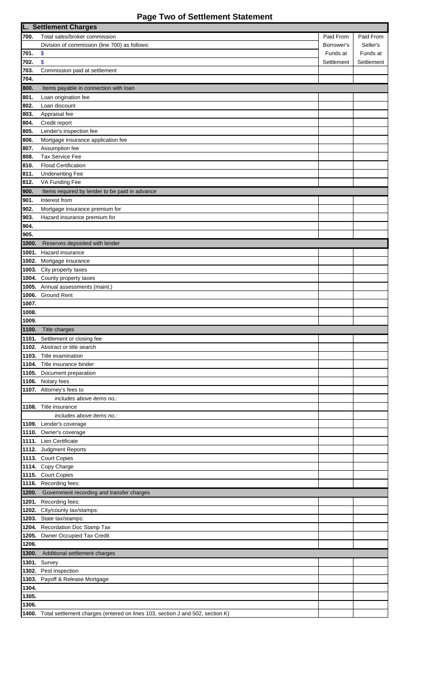# **Page Two of Settlement Statement**

|       | <b>L. Settlement Charges</b>                                                  |            |            |  |  |
|-------|-------------------------------------------------------------------------------|------------|------------|--|--|
| 700.  | Total sales/broker commission                                                 | Paid From  | Paid From  |  |  |
|       | Division of commission (line 700) as follows:                                 | Borrower's | Seller's   |  |  |
| 701.  | \$                                                                            | Funds at   | Funds at   |  |  |
| 702.  | \$                                                                            | Settlement | Settlement |  |  |
| 703.  | Commission paid at settlement                                                 |            |            |  |  |
| 704.  |                                                                               |            |            |  |  |
| 800.  |                                                                               |            |            |  |  |
|       | Items payable in connection with loan                                         |            |            |  |  |
| 801.  | Loan origination fee                                                          |            |            |  |  |
| 802.  | Loan discount                                                                 |            |            |  |  |
| 803.  | Appraisal fee                                                                 |            |            |  |  |
| 804.  | Credit report                                                                 |            |            |  |  |
| 805.  | Lender's inspection fee                                                       |            |            |  |  |
| 806.  | Mortgage insurance application fee                                            |            |            |  |  |
| 807.  | Assumption fee                                                                |            |            |  |  |
| 808.  | Tax Service Fee                                                               |            |            |  |  |
| 810.  | <b>Flood Certification</b>                                                    |            |            |  |  |
| 811.  | <b>Underwriting Fee</b>                                                       |            |            |  |  |
| 812.  | VA Funding Fee                                                                |            |            |  |  |
|       |                                                                               |            |            |  |  |
| 900.  | Items required by lender to be paid in advance                                |            |            |  |  |
| 901.  | Interest from                                                                 |            |            |  |  |
| 902.  | Mortgage insurance premium for                                                |            |            |  |  |
| 903.  | Hazard insurance premium for                                                  |            |            |  |  |
| 904.  |                                                                               |            |            |  |  |
| 905.  |                                                                               |            |            |  |  |
| 1000. | Reserves deposited with lender                                                |            |            |  |  |
| 1001. | Hazard insurance                                                              |            |            |  |  |
| 1002. | Mortgage insurance                                                            |            |            |  |  |
| 1003. | City property taxes                                                           |            |            |  |  |
| 1004. | County property taxes                                                         |            |            |  |  |
| 1005. | Annual assessments (maint.)                                                   |            |            |  |  |
| 1006. | <b>Ground Rent</b>                                                            |            |            |  |  |
| 1007. |                                                                               |            |            |  |  |
| 1008. |                                                                               |            |            |  |  |
| 1009. |                                                                               |            |            |  |  |
| 1100. |                                                                               |            |            |  |  |
|       | Title charges                                                                 |            |            |  |  |
|       | 1101. Settlement or closing fee                                               |            |            |  |  |
| 1102. | Abstract or title search                                                      |            |            |  |  |
| 1103. | Title examination                                                             |            |            |  |  |
| 1104. | Title insurance binder                                                        |            |            |  |  |
| 1105. | Document preparation                                                          |            |            |  |  |
|       | 1106. Notary fees                                                             |            |            |  |  |
|       | 1107. Attorney's fees to                                                      |            |            |  |  |
|       | includes above items no.:                                                     |            |            |  |  |
|       | 1108. Title insurance                                                         |            |            |  |  |
|       | includes above items no.:                                                     |            |            |  |  |
|       | 1109. Lender's coverage                                                       |            |            |  |  |
|       | 1110. Owner's coverage                                                        |            |            |  |  |
|       | 1111. Lien Certificate                                                        |            |            |  |  |
|       | 1112. Judgment Reports                                                        |            |            |  |  |
|       | 1113. Court Copies                                                            |            |            |  |  |
|       | 1114. Copy Charge                                                             |            |            |  |  |
|       | 1115. Court Copies                                                            |            |            |  |  |
|       |                                                                               |            |            |  |  |
|       | 1116. Recording fees:                                                         |            |            |  |  |
| 1200. | Government recording and transfer charges                                     |            |            |  |  |
|       | 1201. Recording fees:                                                         |            |            |  |  |
| 1202. | City/county tax/stamps:                                                       |            |            |  |  |
|       | 1203. State tax/stamps:                                                       |            |            |  |  |
|       | 1204. Recordation Doc Stamp Tax                                               |            |            |  |  |
| 1205. | Owner Occupied Tax Credit                                                     |            |            |  |  |
| 1206. |                                                                               |            |            |  |  |
| 1300. | Additional settlement charges                                                 |            |            |  |  |
| 1301. | Survey                                                                        |            |            |  |  |
| 1302. | Pest inspection                                                               |            |            |  |  |
|       |                                                                               |            |            |  |  |
| 1303. | Payoff & Release Mortgage                                                     |            |            |  |  |
| 1304. |                                                                               |            |            |  |  |
| 1305. |                                                                               |            |            |  |  |
| 1306. |                                                                               |            |            |  |  |
| 1400. | Total settlement charges (entered on lines 103, section J and 502, section K) |            |            |  |  |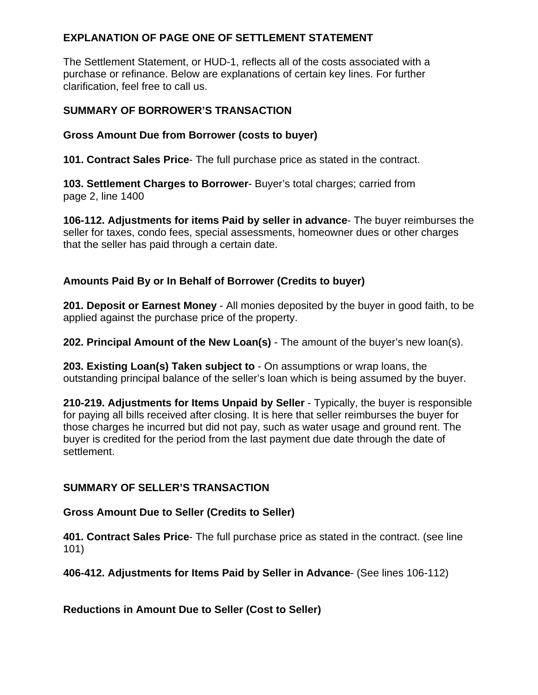# **EXPLANATION OF PAGE ONE OF SETTLEMENT STATEMENT**

The Settlement Statement, or HUD-1, reflects all of the costs associated with a purchase or refinance. Below are explanations of certain key lines. For further clarification, feel free to call us.

## **SUMMARY OF BORROWER'S TRANSACTION**

## **Gross Amount Due from Borrower (costs to buyer)**

**101. Contract Sales Price**- The full purchase price as stated in the contract.

**103. Settlement Charges to Borrower**- Buyer's total charges; carried from page 2, line 1400

**106-112. Adjustments for items Paid by seller in advance**- The buyer reimburses the seller for taxes, condo fees, special assessments, homeowner dues or other charges that the seller has paid through a certain date.

## **Amounts Paid By or In Behalf of Borrower (Credits to buyer)**

**201. Deposit or Earnest Money** - All monies deposited by the buyer in good faith, to be applied against the purchase price of the property.

**202. Principal Amount of the New Loan(s)** - The amount of the buyer's new loan(s).

**203. Existing Loan(s) Taken subject to** - On assumptions or wrap loans, the outstanding principal balance of the seller's loan which is being assumed by the buyer.

**210-219. Adjustments for Items Unpaid by Seller** - Typically, the buyer is responsible for paying all bills received after closing. It is here that seller reimburses the buyer for those charges he incurred but did not pay, such as water usage and ground rent. The buyer is credited for the period from the last payment due date through the date of settlement.

## **SUMMARY OF SELLER'S TRANSACTION**

## **Gross Amount Due to Seller (Credits to Seller)**

**401. Contract Sales Price**- The full purchase price as stated in the contract. (see line 101)

**406-412. Adjustments for Items Paid by Seller in Advance**- (See lines 106-112)

**Reductions in Amount Due to Seller (Cost to Seller)**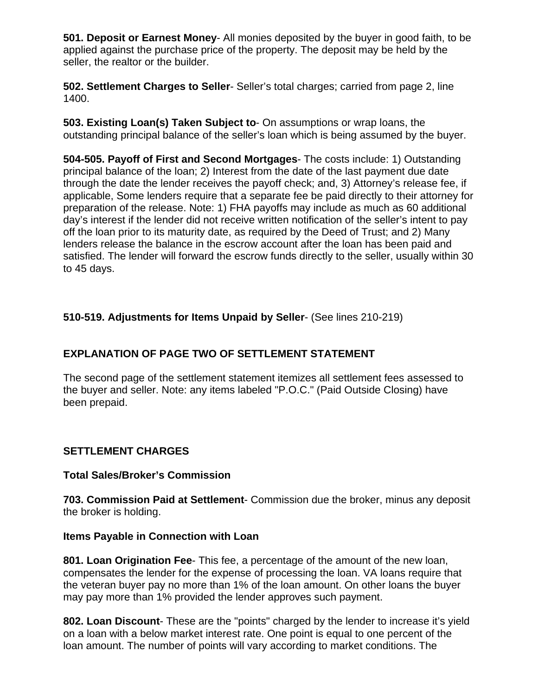**501. Deposit or Earnest Money**- All monies deposited by the buyer in good faith, to be applied against the purchase price of the property. The deposit may be held by the seller, the realtor or the builder.

**502. Settlement Charges to Seller**- Seller's total charges; carried from page 2, line 1400.

**503. Existing Loan(s) Taken Subject to**- On assumptions or wrap loans, the outstanding principal balance of the seller's loan which is being assumed by the buyer.

**504-505. Payoff of First and Second Mortgages**- The costs include: 1) Outstanding principal balance of the loan; 2) Interest from the date of the last payment due date through the date the lender receives the payoff check; and, 3) Attorney's release fee, if applicable, Some lenders require that a separate fee be paid directly to their attorney for preparation of the release. Note: 1) FHA payoffs may include as much as 60 additional day's interest if the lender did not receive written notification of the seller's intent to pay off the loan prior to its maturity date, as required by the Deed of Trust; and 2) Many lenders release the balance in the escrow account after the loan has been paid and satisfied. The lender will forward the escrow funds directly to the seller, usually within 30 to 45 days.

## **510-519. Adjustments for Items Unpaid by Seller**- (See lines 210-219)

# **EXPLANATION OF PAGE TWO OF SETTLEMENT STATEMENT**

The second page of the settlement statement itemizes all settlement fees assessed to the buyer and seller. Note: any items labeled "P.O.C." (Paid Outside Closing) have been prepaid.

## **SETTLEMENT CHARGES**

#### **Total Sales/Broker's Commission**

**703. Commission Paid at Settlement**- Commission due the broker, minus any deposit the broker is holding.

#### **Items Payable in Connection with Loan**

**801. Loan Origination Fee**- This fee, a percentage of the amount of the new loan, compensates the lender for the expense of processing the loan. VA loans require that the veteran buyer pay no more than 1% of the loan amount. On other loans the buyer may pay more than 1% provided the lender approves such payment.

**802. Loan Discount**- These are the "points" charged by the lender to increase it's yield on a loan with a below market interest rate. One point is equal to one percent of the loan amount. The number of points will vary according to market conditions. The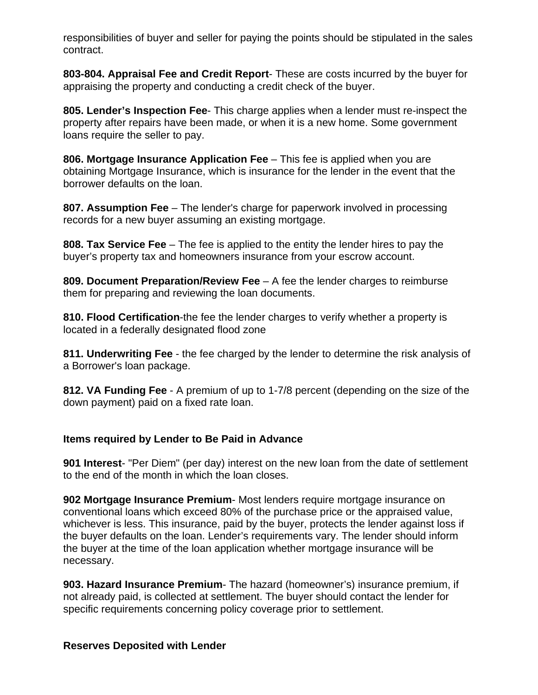responsibilities of buyer and seller for paying the points should be stipulated in the sales contract.

**803-804. Appraisal Fee and Credit Report**- These are costs incurred by the buyer for appraising the property and conducting a credit check of the buyer.

**805. Lender's Inspection Fee**- This charge applies when a lender must re-inspect the property after repairs have been made, or when it is a new home. Some government loans require the seller to pay.

**806. Mortgage Insurance Application Fee** – This fee is applied when you are obtaining Mortgage Insurance, which is insurance for the lender in the event that the borrower defaults on the loan.

**807. Assumption Fee** – The lender's charge for paperwork involved in processing records for a new buyer assuming an existing mortgage.

**808. Tax Service Fee** – The fee is applied to the entity the lender hires to pay the buyer's property tax and homeowners insurance from your escrow account.

**809. Document Preparation/Review Fee** – A fee the lender charges to reimburse them for preparing and reviewing the loan documents.

**810. Flood Certification**-the fee the lender charges to verify whether a property is located in a federally designated flood zone

**811. Underwriting Fee** - the fee charged by the lender to determine the risk analysis of a Borrower's loan package.

**812. VA Funding Fee** - A premium of up to 1-7/8 percent (depending on the size of the down payment) paid on a fixed rate loan.

## **Items required by Lender to Be Paid in Advance**

**901 Interest**- "Per Diem" (per day) interest on the new loan from the date of settlement to the end of the month in which the loan closes.

**902 Mortgage Insurance Premium**- Most lenders require mortgage insurance on conventional loans which exceed 80% of the purchase price or the appraised value, whichever is less. This insurance, paid by the buyer, protects the lender against loss if the buyer defaults on the loan. Lender's requirements vary. The lender should inform the buyer at the time of the loan application whether mortgage insurance will be necessary.

**903. Hazard Insurance Premium**- The hazard (homeowner's) insurance premium, if not already paid, is collected at settlement. The buyer should contact the lender for specific requirements concerning policy coverage prior to settlement.

#### **Reserves Deposited with Lender**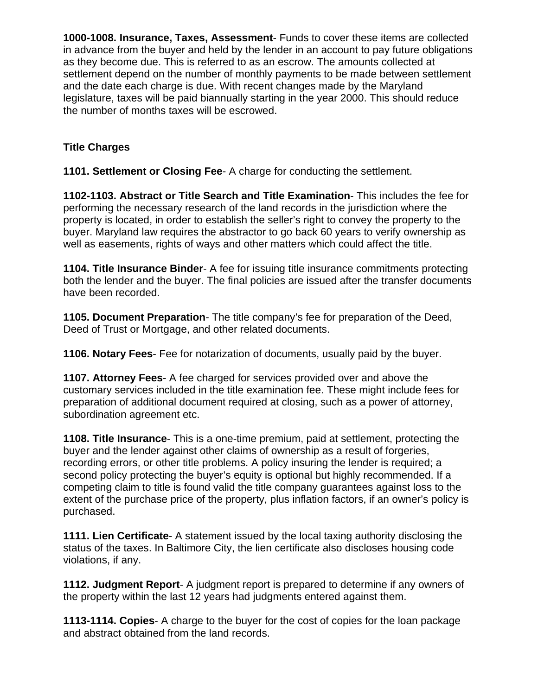**1000-1008. Insurance, Taxes, Assessment**- Funds to cover these items are collected in advance from the buyer and held by the lender in an account to pay future obligations as they become due. This is referred to as an escrow. The amounts collected at settlement depend on the number of monthly payments to be made between settlement and the date each charge is due. With recent changes made by the Maryland legislature, taxes will be paid biannually starting in the year 2000. This should reduce the number of months taxes will be escrowed.

# **Title Charges**

**1101. Settlement or Closing Fee**- A charge for conducting the settlement.

**1102-1103. Abstract or Title Search and Title Examination**- This includes the fee for performing the necessary research of the land records in the jurisdiction where the property is located, in order to establish the seller's right to convey the property to the buyer. Maryland law requires the abstractor to go back 60 years to verify ownership as well as easements, rights of ways and other matters which could affect the title.

**1104. Title Insurance Binder**- A fee for issuing title insurance commitments protecting both the lender and the buyer. The final policies are issued after the transfer documents have been recorded.

**1105. Document Preparation**- The title company's fee for preparation of the Deed, Deed of Trust or Mortgage, and other related documents.

**1106. Notary Fees**- Fee for notarization of documents, usually paid by the buyer.

**1107. Attorney Fees**- A fee charged for services provided over and above the customary services included in the title examination fee. These might include fees for preparation of additional document required at closing, such as a power of attorney, subordination agreement etc.

**1108. Title Insurance**- This is a one-time premium, paid at settlement, protecting the buyer and the lender against other claims of ownership as a result of forgeries, recording errors, or other title problems. A policy insuring the lender is required; a second policy protecting the buyer's equity is optional but highly recommended. If a competing claim to title is found valid the title company guarantees against loss to the extent of the purchase price of the property, plus inflation factors, if an owner's policy is purchased.

**1111. Lien Certificate**- A statement issued by the local taxing authority disclosing the status of the taxes. In Baltimore City, the lien certificate also discloses housing code violations, if any.

**1112. Judgment Report**- A judgment report is prepared to determine if any owners of the property within the last 12 years had judgments entered against them.

**1113-1114. Copies**- A charge to the buyer for the cost of copies for the loan package and abstract obtained from the land records.